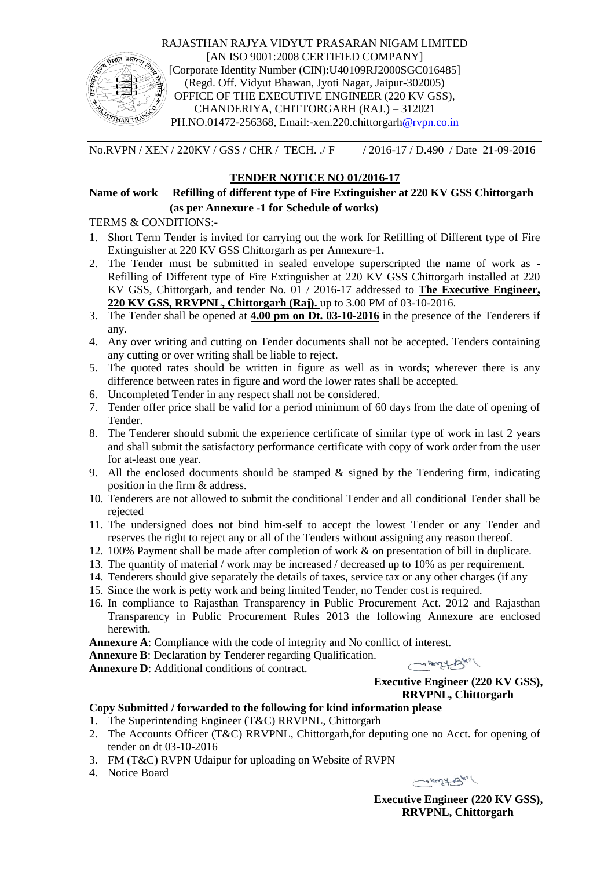

RAJASTHAN RAJYA VIDYUT PRASARAN NIGAM LIMITED [AN ISO 9001:2008 CERTIFIED COMPANY] [Corporate Identity Number (CIN):U40109RJ2000SGC016485] (Regd. Off. Vidyut Bhawan, Jyoti Nagar, Jaipur-302005) OFFICE OF THE EXECUTIVE ENGINEER (220 KV GSS), CHANDERIYA, CHITTORGARH (RAJ.) – 312021 PH.NO.01472-256368, Email:-xen.220.chittorgarh@rvpn.co.in

No.RVPN / XEN / 220KV / GSS / CHR / TECH. ./ F / 2016-17 / D.490 / Date 21-09-2016

## **TENDER NOTICE NO 01/2016-17**

**Name of work Refilling of different type of Fire Extinguisher at 220 KV GSS Chittorgarh (as per Annexure -1 for Schedule of works)**

TERMS & CONDITIONS:-

- 1. Short Term Tender is invited for carrying out the work for Refilling of Different type of Fire Extinguisher at 220 KV GSS Chittorgarh as per Annexure-1**.**
- 2. The Tender must be submitted in sealed envelope superscripted the name of work as Refilling of Different type of Fire Extinguisher at 220 KV GSS Chittorgarh installed at 220 KV GSS, Chittorgarh, and tender No. 01 / 2016-17 addressed to **The Executive Engineer, 220 KV GSS, RRVPNL, Chittorgarh (Raj).** up to 3.00 PM of 03-10-2016.
- 3. The Tender shall be opened at **4.00 pm on Dt. 03-10-2016** in the presence of the Tenderers if any.
- 4. Any over writing and cutting on Tender documents shall not be accepted. Tenders containing any cutting or over writing shall be liable to reject.
- 5. The quoted rates should be written in figure as well as in words; wherever there is any difference between rates in figure and word the lower rates shall be accepted.
- 6. Uncompleted Tender in any respect shall not be considered.
- 7. Tender offer price shall be valid for a period minimum of 60 days from the date of opening of Tender.
- 8. The Tenderer should submit the experience certificate of similar type of work in last 2 years and shall submit the satisfactory performance certificate with copy of work order from the user for at-least one year.
- 9. All the enclosed documents should be stamped  $\&$  signed by the Tendering firm, indicating position in the firm & address.
- 10. Tenderers are not allowed to submit the conditional Tender and all conditional Tender shall be rejected
- 11. The undersigned does not bind him-self to accept the lowest Tender or any Tender and reserves the right to reject any or all of the Tenders without assigning any reason thereof.
- 12. 100% Payment shall be made after completion of work & on presentation of bill in duplicate.
- 13. The quantity of material / work may be increased / decreased up to 10% as per requirement.
- 14. Tenderers should give separately the details of taxes, service tax or any other charges (if any
- 15. Since the work is petty work and being limited Tender, no Tender cost is required.
- 16. In compliance to Rajasthan Transparency in Public Procurement Act. 2012 and Rajasthan Transparency in Public Procurement Rules 2013 the following Annexure are enclosed herewith.

**Annexure A**: Compliance with the code of integrity and No conflict of interest.

**Annexure B**: Declaration by Tenderer regarding Qualification.

**Annexure D**: Additional conditions of contract.

mary by

**Executive Engineer (220 KV GSS), RRVPNL, Chittorgarh**

## **Copy Submitted / forwarded to the following for kind information please**

- 1. The Superintending Engineer (T&C) RRVPNL, Chittorgarh
- 2. The Accounts Officer (T&C) RRVPNL, Chittorgarh,for deputing one no Acct. for opening of tender on dt 03-10-2016
- 3. FM (T&C) RVPN Udaipur for uploading on Website of RVPN
- 4. Notice Board

mary Bull

**Executive Engineer (220 KV GSS), RRVPNL, Chittorgarh**